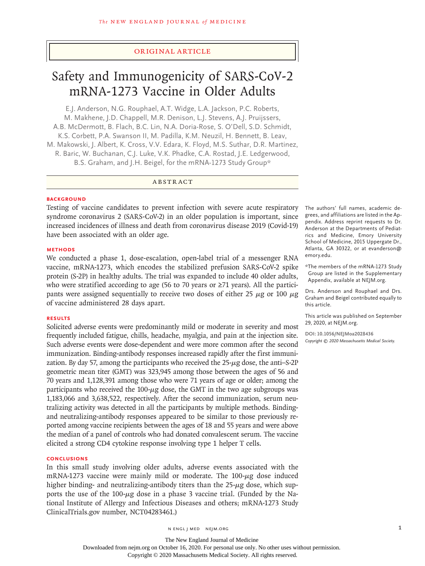## Original Article

# Safety and Immunogenicity of SARS-CoV-2 mRNA-1273 Vaccine in Older Adults

E.J. Anderson, N.G. Rouphael, A.T. Widge, L.A. Jackson, P.C. Roberts, M. Makhene, J.D. Chappell, M.R. Denison, L.J. Stevens, A.J. Pruijssers, A.B. McDermott, B. Flach, B.C. Lin, N.A. Doria-Rose, S. O'Dell, S.D. Schmidt, K.S. Corbett, P.A. Swanson II, M. Padilla, K.M. Neuzil, H. Bennett, B. Leav, M. Makowski, J. Albert, K. Cross, V.V. Edara, K. Floyd, M.S. Suthar, D.R. Martinez, R. Baric, W. Buchanan, C.J. Luke, V.K. Phadke, C.A. Rostad, J.E. Ledgerwood, B.S. Graham, and J.H. Beigel, for the mRNA-1273 Study Group\*

## ABSTRACT

#### **BACKGROUND**

Testing of vaccine candidates to prevent infection with severe acute respiratory syndrome coronavirus 2 (SARS-CoV-2) in an older population is important, since increased incidences of illness and death from coronavirus disease 2019 (Covid-19) have been associated with an older age.

#### **METHODS**

We conducted a phase 1, dose-escalation, open-label trial of a messenger RNA vaccine, mRNA-1273, which encodes the stabilized prefusion SARS-CoV-2 spike protein (S-2P) in healthy adults. The trial was expanded to include 40 older adults, who were stratified according to age (56 to 70 years or ≥71 years). All the participants were assigned sequentially to receive two doses of either 25  $\mu$ g or 100  $\mu$ g of vaccine administered 28 days apart.

## **RESULTS**

Solicited adverse events were predominantly mild or moderate in severity and most frequently included fatigue, chills, headache, myalgia, and pain at the injection site. Such adverse events were dose-dependent and were more common after the second immunization. Binding-antibody responses increased rapidly after the first immunization. By day 57, among the participants who received the 25-μg dose, the anti–S-2P geometric mean titer (GMT) was 323,945 among those between the ages of 56 and 70 years and 1,128,391 among those who were 71 years of age or older; among the participants who received the  $100$ - $\mu$ g dose, the GMT in the two age subgroups was 1,183,066 and 3,638,522, respectively. After the second immunization, serum neutralizing activity was detected in all the participants by multiple methods. Bindingand neutralizing-antibody responses appeared to be similar to those previously reported among vaccine recipients between the ages of 18 and 55 years and were above the median of a panel of controls who had donated convalescent serum. The vaccine elicited a strong CD4 cytokine response involving type 1 helper T cells.

## **CONCLUSIONS**

In this small study involving older adults, adverse events associated with the mRNA-1273 vaccine were mainly mild or moderate. The  $100$ - $\mu$ g dose induced higher binding- and neutralizing-antibody titers than the  $25-\mu g$  dose, which supports the use of the  $100$ - $\mu$ g dose in a phase 3 vaccine trial. (Funded by the National Institute of Allergy and Infectious Diseases and others; mRNA-1273 Study ClinicalTrials.gov number, NCT04283461.)

The authors' full names, academic degrees, and affiliations are listed in the Appendix. Address reprint requests to Dr. Anderson at the Departments of Pediatrics and Medicine, Emory University School of Medicine, 2015 Uppergate Dr., Atlanta, GA 30322, or at evanderson@ emory.edu.

\*The members of the mRNA-1273 Study Group are listed in the Supplementary Appendix, available at NEJM.org.

Drs. Anderson and Rouphael and Drs. Graham and Beigel contributed equally to this article.

This article was published on September 29, 2020, at NEJM.org.

**DOI: 10.1056/NEJMoa2028436** *Copyright © 2020 Massachusetts Medical Society.*

The New England Journal of Medicine Downloaded from nejm.org on October 16, 2020. For personal use only. No other uses without permission.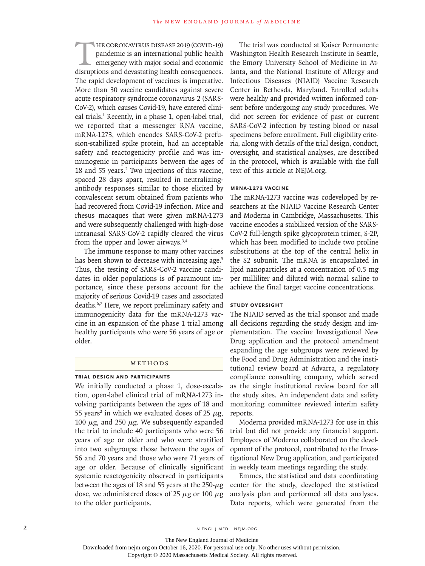HE CORONAVIRUS DISEASE 2019 (COVID-19)<br>pandemic is an international public health<br>emergency with major social and economic<br>disruptions and devastating health consequences. pandemic is an international public health emergency with major social and economic disruptions and devastating health consequences. The rapid development of vaccines is imperative. More than 30 vaccine candidates against severe acute respiratory syndrome coronavirus 2 (SARS-CoV-2), which causes Covid-19, have entered clinical trials.1 Recently, in a phase 1, open-label trial, we reported that a messenger RNA vaccine, mRNA-1273, which encodes SARS-CoV-2 prefusion-stabilized spike protein, had an acceptable safety and reactogenicity profile and was immunogenic in participants between the ages of 18 and 55 years.<sup>2</sup> Two injections of this vaccine, spaced 28 days apart, resulted in neutralizingantibody responses similar to those elicited by convalescent serum obtained from patients who had recovered from Covid-19 infection. Mice and rhesus macaques that were given mRNA-1273 and were subsequently challenged with high-dose intranasal SARS-CoV-2 rapidly cleared the virus from the upper and lower airways.3,4

The immune response to many other vaccines has been shown to decrease with increasing age.<sup>5</sup> Thus, the testing of SARS-CoV-2 vaccine candidates in older populations is of paramount importance, since these persons account for the majority of serious Covid-19 cases and associated deaths.6,7 Here, we report preliminary safety and immunogenicity data for the mRNA-1273 vaccine in an expansion of the phase 1 trial among healthy participants who were 56 years of age or older.

### Methods

#### **Trial Design and Participants**

We initially conducted a phase 1, dose-escalation, open-label clinical trial of mRNA-1273 involving participants between the ages of 18 and 55 years<sup>2</sup> in which we evaluated doses of 25  $\mu$ g, 100  $μ$ g, and 250  $μ$ g. We subsequently expanded the trial to include 40 participants who were 56 years of age or older and who were stratified into two subgroups: those between the ages of 56 and 70 years and those who were 71 years of age or older. Because of clinically significant systemic reactogenicity observed in participants between the ages of 18 and 55 years at the 250- $\mu$ g dose, we administered doses of 25  $\mu$ g or 100  $\mu$ g to the older participants.

The trial was conducted at Kaiser Permanente Washington Health Research Institute in Seattle, the Emory University School of Medicine in Atlanta, and the National Institute of Allergy and Infectious Diseases (NIAID) Vaccine Research Center in Bethesda, Maryland. Enrolled adults were healthy and provided written informed consent before undergoing any study procedures. We did not screen for evidence of past or current SARS-CoV-2 infection by testing blood or nasal specimens before enrollment. Full eligibility criteria, along with details of the trial design, conduct, oversight, and statistical analyses, are described in the protocol, which is available with the full text of this article at NEJM.org.

#### **mRNA-1273 Vaccine**

The mRNA-1273 vaccine was codeveloped by researchers at the NIAID Vaccine Research Center and Moderna in Cambridge, Massachusetts. This vaccine encodes a stabilized version of the SARS-CoV-2 full-length spike glycoprotein trimer, S-2P, which has been modified to include two proline substitutions at the top of the central helix in the S2 subunit. The mRNA is encapsulated in lipid nanoparticles at a concentration of 0.5 mg per milliliter and diluted with normal saline to achieve the final target vaccine concentrations.

#### **Study Oversight**

The NIAID served as the trial sponsor and made all decisions regarding the study design and implementation. The vaccine Investigational New Drug application and the protocol amendment expanding the age subgroups were reviewed by the Food and Drug Administration and the institutional review board at Advarra, a regulatory compliance consulting company, which served as the single institutional review board for all the study sites. An independent data and safety monitoring committee reviewed interim safety reports.

Moderna provided mRNA-1273 for use in this trial but did not provide any financial support. Employees of Moderna collaborated on the development of the protocol, contributed to the Investigational New Drug application, and participated in weekly team meetings regarding the study.

Emmes, the statistical and data coordinating center for the study, developed the statistical analysis plan and performed all data analyses. Data reports, which were generated from the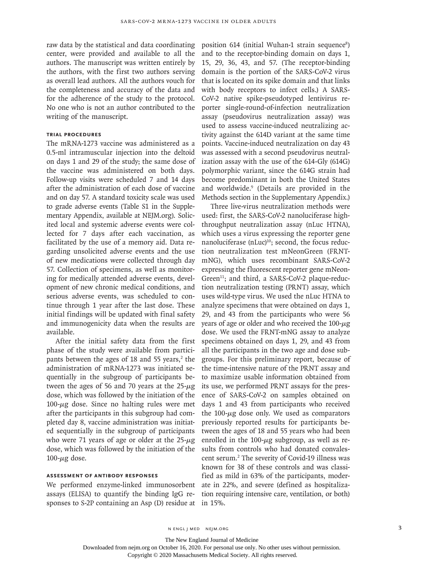raw data by the statistical and data coordinating center, were provided and available to all the authors. The manuscript was written entirely by the authors, with the first two authors serving as overall lead authors. All the authors vouch for the completeness and accuracy of the data and for the adherence of the study to the protocol. No one who is not an author contributed to the writing of the manuscript.

## **Trial Procedures**

The mRNA-1273 vaccine was administered as a 0.5-ml intramuscular injection into the deltoid on days 1 and 29 of the study; the same dose of the vaccine was administered on both days. Follow-up visits were scheduled 7 and 14 days after the administration of each dose of vaccine and on day 57. A standard toxicity scale was used to grade adverse events (Table S1 in the Supplementary Appendix, available at NEJM.org). Solicited local and systemic adverse events were collected for 7 days after each vaccination, as facilitated by the use of a memory aid. Data regarding unsolicited adverse events and the use of new medications were collected through day 57. Collection of specimens, as well as monitoring for medically attended adverse events, development of new chronic medical conditions, and serious adverse events, was scheduled to continue through 1 year after the last dose. These initial findings will be updated with final safety and immunogenicity data when the results are available.

After the initial safety data from the first phase of the study were available from participants between the ages of  $18$  and  $55$  years,<sup>2</sup> the administration of mRNA-1273 was initiated sequentially in the subgroup of participants between the ages of 56 and 70 years at the  $25-\mu$ g dose, which was followed by the initiation of the  $100 - μg$  dose. Since no halting rules were met after the participants in this subgroup had completed day 8, vaccine administration was initiated sequentially in the subgroup of participants who were 71 years of age or older at the  $25-\mu g$ dose, which was followed by the initiation of the  $100 - μg$  dose.

## **Assessment of Antibody Responses**

We performed enzyme-linked immunosorbent assays (ELISA) to quantify the binding IgG responses to S-2P containing an Asp (D) residue at

position 614 (initial Wuhan-1 strain sequence<sup>8</sup>) and to the receptor-binding domain on days 1, 15, 29, 36, 43, and 57. (The receptor-binding domain is the portion of the SARS-CoV-2 virus that is located on its spike domain and that links with body receptors to infect cells.) A SARS-CoV-2 native spike-pseudotyped lentivirus reporter single-round-of-infection neutralization assay (pseudovirus neutralization assay) was used to assess vaccine-induced neutralizing activity against the 614D variant at the same time points. Vaccine-induced neutralization on day 43 was assessed with a second pseudovirus neutralization assay with the use of the 614-Gly (614G) polymorphic variant, since the 614G strain had become predominant in both the United States and worldwide.9 (Details are provided in the Methods section in the Supplementary Appendix.)

Three live-virus neutralization methods were used: first, the SARS-CoV-2 nanoluciferase highthroughput neutralization assay (nLuc HTNA), which uses a virus expressing the reporter gene nanoluciferase  $(nLuc)^{10}$ ; second, the focus reduction neutralization test mNeonGreen (FRNTmNG), which uses recombinant SARS-CoV-2 expressing the fluorescent reporter gene mNeon-Green<sup>11</sup>; and third, a SARS-CoV-2 plaque-reduction neutralization testing (PRNT) assay, which uses wild-type virus. We used the nLuc HTNA to analyze specimens that were obtained on days 1, 29, and 43 from the participants who were 56 years of age or older and who received the 100-μg dose. We used the FRNT-mNG assay to analyze specimens obtained on days 1, 29, and 43 from all the participants in the two age and dose subgroups. For this preliminary report, because of the time-intensive nature of the PRNT assay and to maximize usable information obtained from its use, we performed PRNT assays for the presence of SARS-CoV-2 on samples obtained on days 1 and 43 from participants who received the  $100-\mu$ g dose only. We used as comparators previously reported results for participants between the ages of 18 and 55 years who had been enrolled in the 100-μg subgroup, as well as results from controls who had donated convalescent serum.2 The severity of Covid-19 illness was known for 38 of these controls and was classified as mild in 63% of the participants, moderate in 22%, and severe (defined as hospitalization requiring intensive care, ventilation, or both) in 15%.

The New England Journal of Medicine

Downloaded from nejm.org on October 16, 2020. For personal use only. No other uses without permission.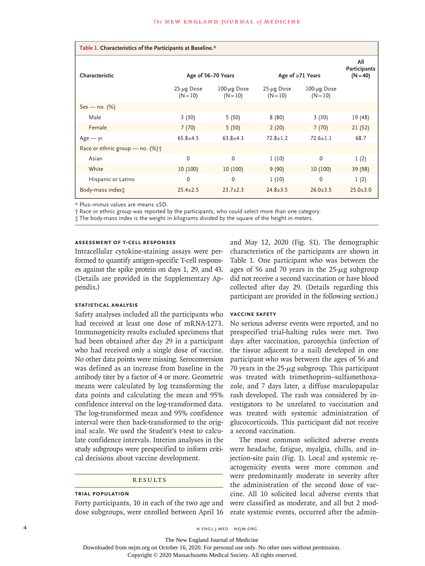| Table 1. Characteristics of the Participants at Baseline.* |                                 |                                  |                                 |                                  |                                   |
|------------------------------------------------------------|---------------------------------|----------------------------------|---------------------------------|----------------------------------|-----------------------------------|
| Characteristic                                             | Age of 56-70 Years              |                                  | Age of $\geq$ 71 Years          |                                  | All<br>Participants<br>$(N = 40)$ |
|                                                            | $25 - \mu g$ Dose<br>$(N = 10)$ | $100 - \mu g$ Dose<br>$(N = 10)$ | $25 - \mu g$ Dose<br>$(N = 10)$ | $100 - \mu g$ Dose<br>$(N = 10)$ |                                   |
| $Sex - no. (%)$                                            |                                 |                                  |                                 |                                  |                                   |
| Male                                                       | 3(30)                           | 5(50)                            | 8(80)                           | 3(30)                            | 19 (48)                           |
| Female                                                     | 7(70)                           | 5(50)                            | 2(20)                           | 7(70)                            | 21(52)                            |
| $Age - yr$                                                 | $65.8 + 4.5$                    | $63.8 + 4.3$                     | $72.8 \pm 1.2$                  | $72.6 \pm 1.1$                   | 68.7                              |
| Race or ethnic group – no. $(\%)\uparrow$                  |                                 |                                  |                                 |                                  |                                   |
| Asian                                                      | $\Omega$                        | $\mathbf 0$                      | 1(10)                           | $\mathbf{0}$                     | 1(2)                              |
| White                                                      | 10(100)                         | 10(100)                          | 9(90)                           | 10(100)                          | 39 (98)                           |
| Hispanic or Latino                                         | $\mathbf{0}$                    | $\mathbf{0}$                     | 1(10)                           | $\mathbf{0}$                     | 1(2)                              |
| Body-mass index <sub>i</sub>                               | $25.4 + 2.5$                    | $23.7 + 2.3$                     | $24.8 + 3.5$                    | $26.0 + 3.5$                     | $25.0 + 3.0$                      |

\* Plus–minus values are means ±SD.

† Race or ethnic group was reported by the participants, who could select more than one category.

‡ The body-mass index is the weight in kilograms divided by the square of the height in meters.

## **Assessment of T-Cell Responses**

Intracellular cytokine-staining assays were performed to quantify antigen-specific T-cell responses against the spike protein on days 1, 29, and 43. (Details are provided in the Supplementary Appendix.)

#### **Statistical Analysis**

Safety analyses included all the participants who had received at least one dose of mRNA-1273. Immunogenicity results excluded specimens that had been obtained after day 29 in a participant who had received only a single dose of vaccine. No other data points were missing. Seroconversion was defined as an increase from baseline in the antibody titer by a factor of 4 or more. Geometric means were calculated by log transforming the data points and calculating the mean and 95% confidence interval on the log-transformed data. The log-transformed mean and 95% confidence interval were then back-transformed to the original scale. We used the Student's t-test to calculate confidence intervals. Interim analyses in the study subgroups were prespecified to inform critical decisions about vaccine development.

#### **RESULTS**

#### **Trial Population**

Forty participants, 10 in each of the two age and dose subgroups, were enrolled between April 16

and May 12, 2020 (Fig. S1). The demographic characteristics of the participants are shown in Table 1. One participant who was between the ages of 56 and 70 years in the 25-μg subgroup did not receive a second vaccination or have blood collected after day 29. (Details regarding this participant are provided in the following section.)

#### **Vaccine Safety**

No serious adverse events were reported, and no prespecified trial-halting rules were met. Two days after vaccination, paronychia (infection of the tissue adjacent to a nail) developed in one participant who was between the ages of 56 and 70 years in the  $25-\mu$ g subgroup. This participant was treated with trimethoprim–sulfamethoxazole, and 7 days later, a diffuse maculopapular rash developed. The rash was considered by investigators to be unrelated to vaccination and was treated with systemic administration of glucocorticoids. This participant did not receive a second vaccination.

The most common solicited adverse events were headache, fatigue, myalgia, chills, and injection-site pain (Fig. 1). Local and systemic reactogenicity events were more common and were predominantly moderate in severity after the administration of the second dose of vaccine. All 10 solicited local adverse events that were classified as moderate, and all but 2 moderate systemic events, occurred after the admin-

Downloaded from nejm.org on October 16, 2020. For personal use only. No other uses without permission.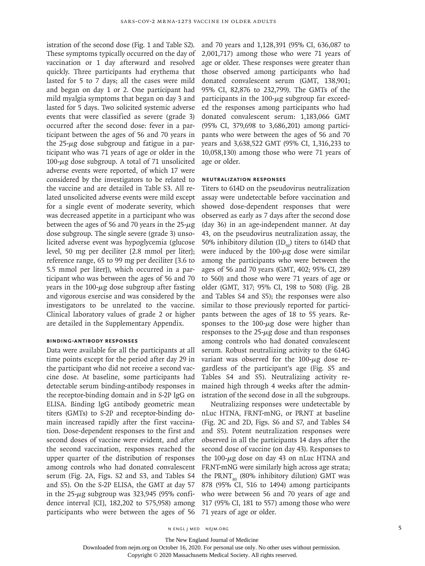istration of the second dose (Fig. 1 and Table S2). These symptoms typically occurred on the day of vaccination or 1 day afterward and resolved quickly. Three participants had erythema that lasted for 5 to 7 days; all the cases were mild and began on day 1 or 2. One participant had mild myalgia symptoms that began on day 3 and lasted for 5 days. Two solicited systemic adverse events that were classified as severe (grade 3) occurred after the second dose: fever in a participant between the ages of 56 and 70 years in the  $25-\mu g$  dose subgroup and fatigue in a participant who was 71 years of age or older in the 100- $\mu$ g dose subgroup. A total of 71 unsolicited adverse events were reported, of which 17 were considered by the investigators to be related to the vaccine and are detailed in Table S3. All related unsolicited adverse events were mild except for a single event of moderate severity, which was decreased appetite in a participant who was between the ages of 56 and 70 years in the  $25-\mu$ g dose subgroup. The single severe (grade 3) unsolicited adverse event was hypoglycemia (glucose level, 50 mg per deciliter [2.8 mmol per liter]; reference range, 65 to 99 mg per deciliter [3.6 to 5.5 mmol per liter]), which occurred in a participant who was between the ages of 56 and 70 years in the  $100-\mu g$  dose subgroup after fasting and vigorous exercise and was considered by the investigators to be unrelated to the vaccine. Clinical laboratory values of grade 2 or higher are detailed in the Supplementary Appendix.

#### **Binding-Antibody Responses**

Data were available for all the participants at all time points except for the period after day 29 in the participant who did not receive a second vaccine dose. At baseline, some participants had detectable serum binding-antibody responses in the receptor-binding domain and in S-2P IgG on ELISA. Binding IgG antibody geometric mean titers (GMTs) to S-2P and receptor-binding domain increased rapidly after the first vaccination. Dose-dependent responses to the first and second doses of vaccine were evident, and after the second vaccination, responses reached the upper quarter of the distribution of responses among controls who had donated convalescent serum (Fig. 2A, Figs. S2 and S3, and Tables S4 and S5). On the S-2P ELISA, the GMT at day 57 in the  $25-\mu g$  subgroup was 323,945 (95% confidence interval [CI], 182,202 to 575,958) among participants who were between the ages of 56 and 70 years and 1,128,391 (95% CI, 636,087 to 2,001,717) among those who were 71 years of age or older. These responses were greater than those observed among participants who had donated convalescent serum (GMT, 138,901; 95% CI, 82,876 to 232,799). The GMTs of the participants in the  $100 - \mu$ g subgroup far exceeded the responses among participants who had donated convalescent serum: 1,183,066 GMT (95% CI, 379,698 to 3,686,201) among participants who were between the ages of 56 and 70 years and 3,638,522 GMT (95% CI, 1,316,233 to 10,058,130) among those who were 71 years of age or older.

### **Neutralization Responses**

Titers to 614D on the pseudovirus neutralization assay were undetectable before vaccination and showed dose-dependent responses that were observed as early as 7 days after the second dose (day 36) in an age-independent manner. At day 43, on the pseudovirus neutralization assay, the 50% inhibitory dilution  $(ID_{\varepsilon_{0}})$  titers to 614D that were induced by the  $100-\mu$ g dose were similar among the participants who were between the ages of 56 and 70 years (GMT, 402; 95% CI, 289 to 560) and those who were 71 years of age or older (GMT, 317; 95% CI, 198 to 508) (Fig. 2B and Tables S4 and S5); the responses were also similar to those previously reported for participants between the ages of 18 to 55 years. Responses to the  $100-\mu g$  dose were higher than responses to the  $25-\mu g$  dose and than responses among controls who had donated convalescent serum. Robust neutralizing activity to the 614G variant was observed for the 100-μg dose regardless of the participant's age (Fig. S5 and Tables S4 and S5). Neutralizing activity remained high through 4 weeks after the administration of the second dose in all the subgroups.

Neutralizing responses were undetectable by nLuc HTNA, FRNT-mNG, or PRNT at baseline (Fig. 2C and 2D, Figs. S6 and S7, and Tables S4 and S5). Potent neutralization responses were observed in all the participants 14 days after the second dose of vaccine (on day 43). Responses to the 100- $\mu$ g dose on day 43 on nLuc HTNA and FRNT-mNG were similarly high across age strata; the PRNT<sub>s0</sub> (80% inhibitory dilution) GMT was 878 (95% CI, 516 to 1494) among participants who were between 56 and 70 years of age and 317 (95% CI, 181 to 557) among those who were 71 years of age or older.

n engl j med nejm.org 5

The New England Journal of Medicine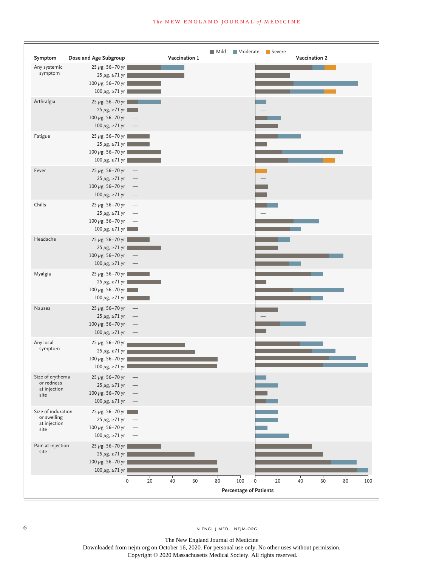

The New England Journal of Medicine Downloaded from nejm.org on October 16, 2020. For personal use only. No other uses without permission. Copyright © 2020 Massachusetts Medical Society. All rights reserved.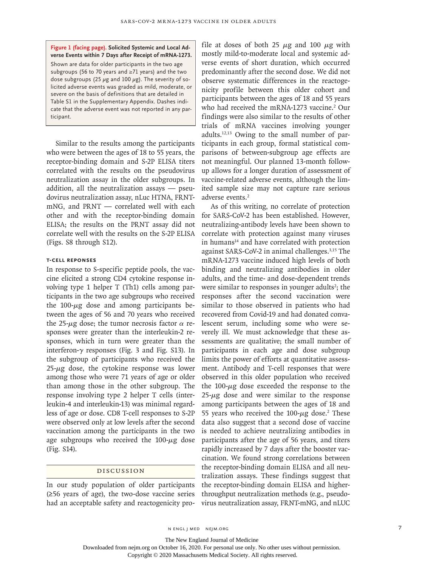**Figure 1 (facing page). Solicited Systemic and Local Adverse Events within 7 Days after Receipt of mRNA-1273.**

Shown are data for older participants in the two age subgroups (56 to 70 years and ≥71 years) and the two dose subgroups (25  $\mu$ g and 100  $\mu$ g). The severity of solicited adverse events was graded as mild, moderate, or severe on the basis of definitions that are detailed in Table S1 in the Supplementary Appendix. Dashes indicate that the adverse event was not reported in any participant.

Similar to the results among the participants who were between the ages of 18 to 55 years, the receptor-binding domain and S-2P ELISA titers correlated with the results on the pseudovirus neutralization assay in the older subgroups. In addition, all the neutralization assays — pseudovirus neutralization assay, nLuc HTNA, FRNTmNG, and PRNT — correlated well with each other and with the receptor-binding domain ELISA; the results on the PRNT assay did not correlate well with the results on the S-2P ELISA (Figs. S8 through S12).

#### **T-Cell Reponses**

In response to S-specific peptide pools, the vaccine elicited a strong CD4 cytokine response involving type 1 helper T (Th1) cells among participants in the two age subgroups who received the  $100-\mu g$  dose and among participants between the ages of 56 and 70 years who received the 25- $\mu$ g dose; the tumor necrosis factor  $\alpha$  responses were greater than the interleukin-2 responses, which in turn were greater than the interferon-γ responses (Fig. 3 and Fig. S13). In the subgroup of participants who received the  $25-\mu g$  dose, the cytokine response was lower among those who were 71 years of age or older than among those in the other subgroup. The response involving type 2 helper T cells (interleukin-4 and interleukin-13) was minimal regardless of age or dose. CD8 T-cell responses to S-2P were observed only at low levels after the second vaccination among the participants in the two age subgroups who received the  $100-\mu$ g dose (Fig. S14).

### Discussion

In our study population of older participants (≥56 years of age), the two-dose vaccine series had an acceptable safety and reactogenicity profile at doses of both 25  $\mu$ g and 100  $\mu$ g with mostly mild-to-moderate local and systemic adverse events of short duration, which occurred predominantly after the second dose. We did not observe systematic differences in the reactogenicity profile between this older cohort and participants between the ages of 18 and 55 years who had received the mRNA-1273 vaccine.<sup>2</sup> Our findings were also similar to the results of other trials of mRNA vaccines involving younger adults.12,13 Owing to the small number of participants in each group, formal statistical comparisons of between-subgroup age effects are not meaningful. Our planned 13-month followup allows for a longer duration of assessment of vaccine-related adverse events, although the limited sample size may not capture rare serious adverse events.<sup>2</sup>

As of this writing, no correlate of protection for SARS-CoV-2 has been established. However, neutralizing-antibody levels have been shown to correlate with protection against many viruses in humans<sup>14</sup> and have correlated with protection against SARS-CoV-2 in animal challenges.3,15 The mRNA-1273 vaccine induced high levels of both binding and neutralizing antibodies in older adults, and the time- and dose-dependent trends were similar to responses in younger adults<sup>2</sup>; the responses after the second vaccination were similar to those observed in patients who had recovered from Covid-19 and had donated convalescent serum, including some who were severely ill. We must acknowledge that these assessments are qualitative; the small number of participants in each age and dose subgroup limits the power of efforts at quantitative assessment. Antibody and T-cell responses that were observed in this older population who received the  $100 - \mu$ g dose exceeded the response to the  $25-\mu g$  dose and were similar to the response among participants between the ages of 18 and 55 years who received the  $100 - \mu g$  dose.<sup>2</sup> These data also suggest that a second dose of vaccine is needed to achieve neutralizing antibodies in participants after the age of 56 years, and titers rapidly increased by 7 days after the booster vaccination. We found strong correlations between the receptor-binding domain ELISA and all neutralization assays. These findings suggest that the receptor-binding domain ELISA and higherthroughput neutralization methods (e.g., pseudovirus neutralization assay, FRNT-mNG, and nLUC

The New England Journal of Medicine

Downloaded from nejm.org on October 16, 2020. For personal use only. No other uses without permission.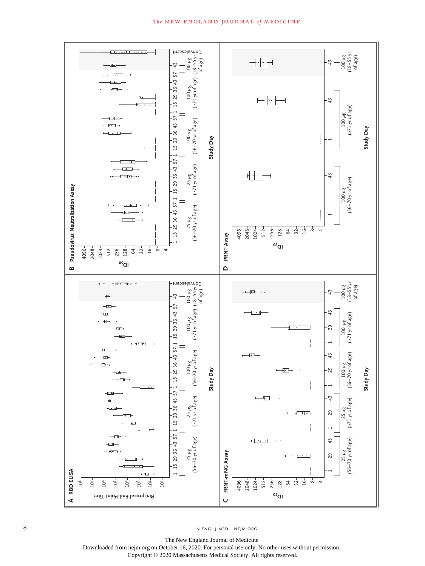### **The NEW ENGLAND JOURNAL of MEDICINE**



The New England Journal of Medicine Downloaded from nejm.org on October 16, 2020. For personal use only. No other uses without permission.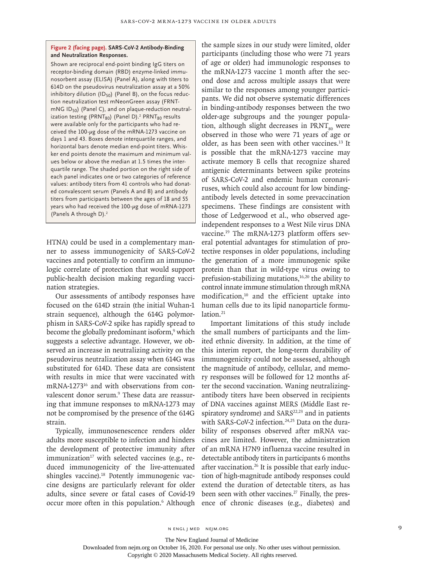### **Figure 2 (facing page). SARS-CoV-2 Antibody-Binding and Neutralization Responses.**

Shown are reciprocal end-point binding IgG titers on receptor-binding domain (RBD) enzyme-linked immunosorbent assay (ELISA) (Panel A), along with titers to 614D on the pseudovirus neutralization assay at a 50% inhibitory dilution (ID $_{50}$ ) (Panel B), on the focus reduction neutralization test mNeonGreen assay (FRNT $mNG ID_{50}$ ) (Panel C), and on plaque-reduction neutralization testing (PRNT $_{80})$  (Panel D). $^2$  PRNT $_{80}$  results were available only for the participants who had received the 100-μg dose of the mRNA-1273 vaccine on days 1 and 43. Boxes denote interquartile ranges, and horizontal bars denote median end-point titers. Whisker end points denote the maximum and minimum values below or above the median at 1.5 times the interquartile range. The shaded portion on the right side of each panel indicates one or two categories of reference values: antibody titers from 41 controls who had donated convalescent serum (Panels A and B) and antibody titers from participants between the ages of 18 and 55 years who had received the 100-μg dose of mRNA-1273 (Panels A through D).2

HTNA) could be used in a complementary manner to assess immunogenicity of SARS-CoV-2 vaccines and potentially to confirm an immunologic correlate of protection that would support public-health decision making regarding vaccination strategies.

Our assessments of antibody responses have focused on the 614D strain (the initial Wuhan-1 strain sequence), although the 614G polymorphism in SARS-CoV-2 spike has rapidly spread to become the globally predominant isoform,<sup>9</sup> which suggests a selective advantage. However, we observed an increase in neutralizing activity on the pseudovirus neutralization assay when 614G was substituted for 614D. These data are consistent with results in mice that were vaccinated with mRNA-1273<sup>16</sup> and with observations from convalescent donor serum.<sup>9</sup> These data are reassuring that immune responses to mRNA-1273 may not be compromised by the presence of the 614G strain.

Typically, immunosenescence renders older adults more susceptible to infection and hinders the development of protective immunity after immunization<sup>17</sup> with selected vaccines (e.g., reduced immunogenicity of the live-attenuated shingles vaccine).<sup>18</sup> Potently immunogenic vaccine designs are particularly relevant for older adults, since severe or fatal cases of Covid-19 occur more often in this population.<sup>6</sup> Although the sample sizes in our study were limited, older participants (including those who were 71 years of age or older) had immunologic responses to the mRNA-1273 vaccine 1 month after the second dose and across multiple assays that were similar to the responses among younger participants. We did not observe systematic differences in binding-antibody responses between the two older-age subgroups and the younger population, although slight decreases in  $PRNT_{\text{on}}$  were observed in those who were 71 years of age or older, as has been seen with other vaccines.13 It is possible that the mRNA-1273 vaccine may activate memory B cells that recognize shared antigenic determinants between spike proteins of SARS-CoV-2 and endemic human coronaviruses, which could also account for low bindingantibody levels detected in some prevaccination specimens. These findings are consistent with those of Ledgerwood et al., who observed ageindependent responses to a West Nile virus DNA vaccine.19 The mRNA-1273 platform offers several potential advantages for stimulation of protective responses in older populations, including the generation of a more immunogenic spike protein than that in wild-type virus owing to prefusion-stabilizing mutations,<sup>16,20</sup> the ability to control innate immune stimulation through mRNA modification,10 and the efficient uptake into human cells due to its lipid nanoparticle formulation.<sup>21</sup>

Important limitations of this study include the small numbers of participants and the limited ethnic diversity. In addition, at the time of this interim report, the long-term durability of immunogenicity could not be assessed, although the magnitude of antibody, cellular, and memory responses will be followed for 12 months after the second vaccination. Waning neutralizingantibody titers have been observed in recipients of DNA vaccines against MERS (Middle East respiratory syndrome) and SARS<sup>22,23</sup> and in patients with SARS-CoV-2 infection.<sup>24,25</sup> Data on the durability of responses observed after mRNA vaccines are limited. However, the administration of an mRNA H7N9 influenza vaccine resulted in detectable antibody titers in participants 6 months after vaccination.<sup>26</sup> It is possible that early induction of high-magnitude antibody responses could extend the duration of detectable titers, as has been seen with other vaccines.<sup>27</sup> Finally, the presence of chronic diseases (e.g., diabetes) and

The New England Journal of Medicine

Downloaded from nejm.org on October 16, 2020. For personal use only. No other uses without permission.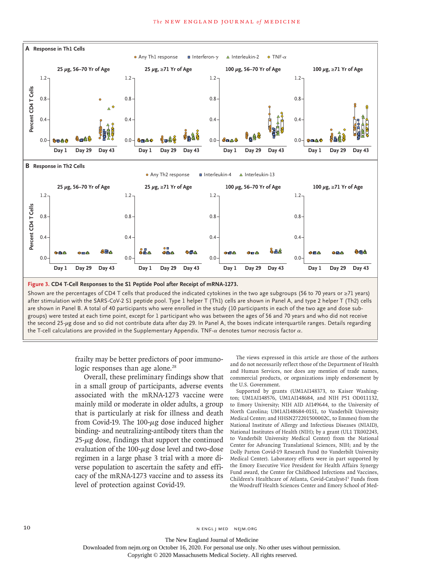

frailty may be better predictors of poor immunologic responses than age alone.<sup>28</sup>

Overall, these preliminary findings show that in a small group of participants, adverse events associated with the mRNA-1273 vaccine were mainly mild or moderate in older adults, a group that is particularly at risk for illness and death from Covid-19. The  $100-\mu$ g dose induced higher binding- and neutralizing-antibody titers than the  $25-\mu$ g dose, findings that support the continued evaluation of the  $100$ - $\mu$ g dose level and two-dose regimen in a large phase 3 trial with a more diverse population to ascertain the safety and efficacy of the mRNA-1273 vaccine and to assess its level of protection against Covid-19.

The views expressed in this article are those of the authors and do not necessarily reflect those of the Department of Health and Human Services, nor does any mention of trade names, commercial products, or organizations imply endorsement by the U.S. Government.

Supported by grants (UM1AI148373, to Kaiser Washington; UM1AI148576, UM1AI148684, and NIH P51 OD011132, to Emory University; NIH AID AI149644, to the University of North Carolina; UM1Al148684-01S1, to Vanderbilt University Medical Center; and HHSN272201500002C, to Emmes) from the National Institute of Allergy and Infectious Diseases (NIAID), National Institutes of Health (NIH); by a grant (UL1 TR002243, to Vanderbilt University Medical Center) from the National Center for Advancing Translational Sciences, NIH; and by the Dolly Parton Covid-19 Research Fund (to Vanderbilt University Medical Center). Laboratory efforts were in part supported by the Emory Executive Vice President for Health Affairs Synergy Fund award, the Center for Childhood Infections and Vaccines, Children's Healthcare of Atlanta, Covid-Catalyst-I3 Funds from the Woodruff Health Sciences Center and Emory School of Med-

10 N ENGL J MED NEJM.ORG

The New England Journal of Medicine Downloaded from nejm.org on October 16, 2020. For personal use only. No other uses without permission.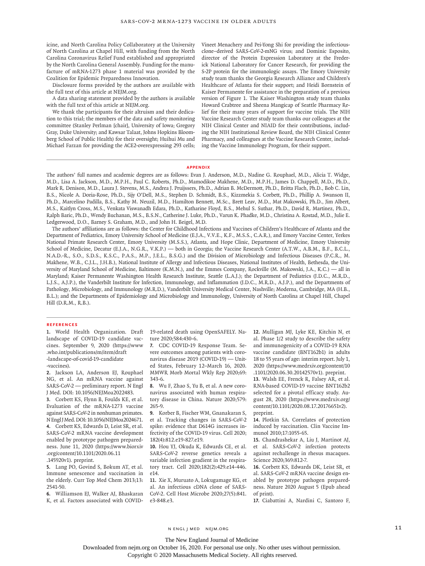icine, and North Carolina Policy Collaboratory at the University of North Carolina at Chapel Hill, with funding from the North Carolina Coronavirus Relief Fund established and appropriated by the North Carolina General Assembly. Funding for the manufacture of mRNA-1273 phase 1 material was provided by the Coalition for Epidemic Preparedness Innovation.

Disclosure forms provided by the authors are available with the full text of this article at NEJM.org.

A data sharing statement provided by the authors is available with the full text of this article at NEJM.org.

We thank the participants for their altruism and their dedication to this trial; the members of the data and safety monitoring committee (Stanley Perlman [chair], University of Iowa; Gregory Gray, Duke University; and Kawsar Talaat, Johns Hopkins Bloomberg School of Public Health) for their oversight; Huihui Mu and Michael Farzan for providing the ACE2-overexpressing 293 cells; Vineet Menachery and Pei-Yong Shi for providing the infectiousclone–derived SARS-CoV-2-mNG virus; and Dominic Esposito, director of the Protein Expression Laboratory at the Frederick National Laboratory for Cancer Research, for providing the S-2P protein for the immunologic assays. The Emory University study team thanks the Georgia Research Alliance and Children's Healthcare of Atlanta for their support; and Heidi Bornstein of Kaiser Permanente for assistance in the preparation of a previous version of Figure 1. The Kaiser Washington study team thanks Howard Crabtree and Sheena Mangicap of Seattle Pharmacy Relief for their many years of support for vaccine trials. The NIH Vaccine Research Center study team thanks our colleagues at the NIH Clinical Center and NIAID for their contributions, including the NIH Institutional Review Board, the NIH Clinical Center Pharmacy, and colleagues at the Vaccine Research Center, including the Vaccine Immunology Program, for their support.

#### **Appendix**

The authors' full names and academic degrees are as follows: Evan J. Anderson, M.D., Nadine G. Rouphael, M.D., Alicia T. Widge, M.D., Lisa A. Jackson, M.D., M.P.H., Paul C. Roberts, Ph.D., Mamodikoe Makhene, M.D., M.P.H., James D. Chappell, M.D., Ph.D., Mark R. Denison, M.D., Laura J. Stevens, M.S., Andrea J. Pruijssers, Ph.D., Adrian B. McDermott, Ph.D., Britta Flach, Ph.D., Bob C. Lin, B.S., Nicole A. Doria-Rose, Ph.D., Sijy O'Dell, M.S., Stephen D. Schmidt, B.S., Kizzmekia S. Corbett, Ph.D., Phillip A. Swanson II, Ph.D., Marcelino Padilla, B.S., Kathy M. Neuzil, M.D., Hamilton Bennett, M.Sc., Brett Leav, M.D., Mat Makowski, Ph.D., Jim Albert, M.S., Kaitlyn Cross, M.S., Venkata Viswanadh Edara, Ph.D., Katharine Floyd, B.S., Mehul S. Suthar, Ph.D., David R. Martinez, Ph.D., Ralph Baric, Ph.D., Wendy Buchanan, M.S., B.S.N., Catherine J. Luke, Ph.D., Varun K. Phadke, M.D., Christina A. Rostad, M.D., Julie E. Ledgerwood, D.O., Barney S. Graham, M.D., and John H. Beigel, M.D.

The authors' affiliations are as follows: the Center for Childhood Infections and Vaccines of Children's Healthcare of Atlanta and the Department of Pediatrics, Emory University School of Medicine (E.J.A., V.V.E., K.F., M.S.S., C.A.R.), and Emory Vaccine Center, Yerkes National Primate Research Center, Emory University (M.S.S.), Atlanta, and Hope Clinic, Department of Medicine, Emory University School of Medicine, Decatur (E.J.A., N.G.R., V.K.P.) — both in Georgia; the Vaccine Research Center (A.T.W., A.B.M., B.F., B.C.L., N.A.D.-R., S.O., S.D.S., K.S.C., P.A.S., M.P., J.E.L., B.S.G.) and the Division of Microbiology and Infectious Diseases (P.C.R., M. Makhene, W.B., C.J.L., J.H.B.), National Institute of Allergy and Infectious Diseases, National Institutes of Health, Bethesda, the University of Maryland School of Medicine, Baltimore (K.M.N.), and the Emmes Company, Rockville (M. Makowski, J.A., K.C.) — all in Maryland; Kaiser Permanente Washington Health Research Institute, Seattle (L.A.J.); the Department of Pediatrics (J.D.C., M.R.D., L.J.S., A.J.P.), the Vanderbilt Institute for Infection, Immunology, and Inflammation (J.D.C., M.R.D., A.J.P.), and the Departments of Pathology, Microbiology, and Immunology (M.R.D.), Vanderbilt University Medical Center, Nashville; Moderna, Cambridge, MA (H.B., B.L.); and the Departments of Epidemiology and Microbiology and Immunology, University of North Carolina at Chapel Hill, Chapel Hill (D.R.M., R.B.).

#### **References**

**1.** World Health Organization. Draft landscape of COVID-19 candidate vaccines. September 9, 2020 (https://www .who.int/publications/m/item/draft -landscape-of-covid-19-candidate -vaccines).

**2.** Jackson LA, Anderson EJ, Rouphael NG, et al. An mRNA vaccine against SARS-CoV-2 — preliminary report. N Engl J Med. DOI: 10.1056/NEJMoa2022483.

**3.** Corbett KS, Flynn B, Foulds KE, et al. Evaluation of the mRNA-1273 vaccine against SARS-CoV-2 in nonhuman primates. N Engl J Med. DOI: 10.1056/NEJMoa2024671. **4.** Corbett KS, Edwards D, Leist SR, et al. SARS-CoV-2 mRNA vaccine development enabled by prototype pathogen preparedness. June 11, 2020 (https://www.biorxiv .org/content/10.1101/2020.06.11

.145920v1). preprint.

**5.** Lang PO, Govind S, Bokum AT, et al. Immune senescence and vaccination in the elderly. Curr Top Med Chem 2013;13: 2541-50.

**6.** Williamson EJ, Walker AJ, Bhaskaran K, et al. Factors associated with COVID- 19-related death using OpenSAFELY. Nature 2020;584:430-6.

**7.** CDC COVID-19 Response Team. Severe outcomes among patients with coronavirus disease 2019 (COVID-19) — United States, February 12–March 16, 2020. MMWR Morb Mortal Wkly Rep 2020;69: 343-6.

**8.** Wu F, Zhao S, Yu B, et al. A new coronavirus associated with human respiratory disease in China. Nature 2020;579: 265-9.

**9.** Korber B, Fischer WM, Gnanakaran S, et al. Tracking changes in SARS-CoV-2 spike: evidence that D614G increases infectivity of the COVID-19 virus. Cell 2020; 182(4):812.e19-827.e19.

**10.** Hou YJ, Okuda K, Edwards CE, et al. SARS-CoV-2 reverse genetics reveals a variable infection gradient in the respiratory tract. Cell 2020;182(2):429.e14-446. e14.

**11.** Xie X, Muruato A, Lokugamage KG, et al. An infectious cDNA clone of SARS-CoV-2. Cell Host Microbe 2020;27(5):841. e3-848.e3.

**12.** Mulligan MJ, Lyke KE, Kitchin N, et al. Phase 1/2 study to describe the safety and immunogenicity of a COVID-19 RNA vaccine candidate (BNT162b1) in adults 18 to 55 years of age: interim report. July 1, 2020 (https://www.medrxiv.org/content/10 .1101/2020.06.30.20142570v1). preprint.

**13.** Walsh EE, Frenck R, Falsey AR, et al. RNA-based COVID-19 vaccine BNT162b2 selected for a pivotal efficacy study. August 28, 2020 (https://www.medrxiv.org/ content/10.1101/2020.08.17.20176651v2). preprint.

**14.** Plotkin SA. Correlates of protection induced by vaccination. Clin Vaccine Immunol 2010;17:1055-65.

**15.** Chandrashekar A, Liu J, Martinot AJ, et al. SARS-CoV-2 infection protects against rechallenge in rhesus macaques. Science 2020;369:812-7.

**16.** Corbett KS, Edwards DK, Leist SR, et al. SARS-CoV-2 mRNA vaccine design enabled by prototype pathogen preparedness. Nature 2020 August 5 (Epub ahead of print).

**17.** Ciabattini A, Nardini C, Santoro F,

n engl j med nejm.org 11

The New England Journal of Medicine

Downloaded from nejm.org on October 16, 2020. For personal use only. No other uses without permission.